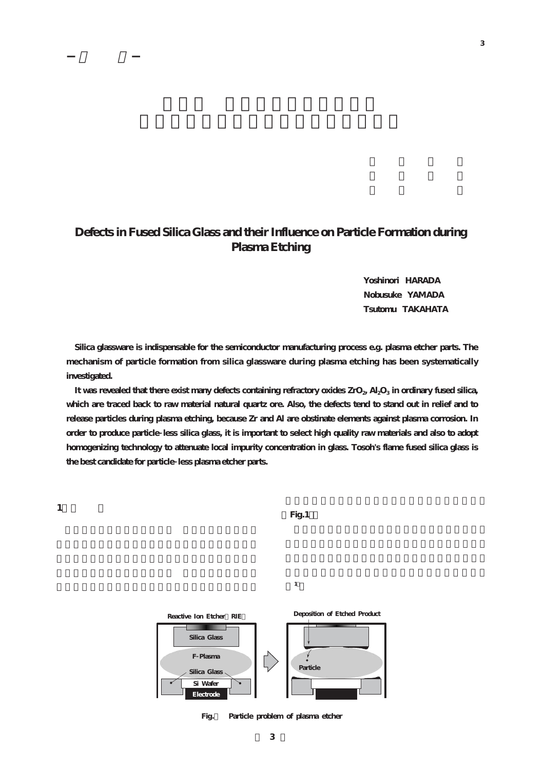## **Defects in Fused Silica Glass and their Influence on Particle Formation during Plasma Etching**

**Yoshinori HARADA Nobusuke YAMADA Tsutomu TAKAHATA**

**Silica glassware is indispensable for the semiconductor manufacturing process e.g. plasma etcher parts. The mechanism of particle formation from silica glassware during plasma etching has been systematically investigated.**

It was revealed that there exist many defects containing refractory oxides ZrO<sub>2</sub>, Al<sub>2</sub>O<sub>3</sub> in ordinary fused silica, **which are traced back to raw material natural quartz ore. Also, the defects tend to stand out in relief and to release particles during plasma etching, because Zr and Al are obstinate elements against plasma corrosion. In order to produce particle less silica glass, it is important to select high quality raw materials and also to adopt homogenizing technology to attenuate local impurity concentration in glass. Tosoh's flame fused silica glass is the best candidate for particle less plasma etcher parts.**

**Fig.1**

**1)**



**Fig.1 Particle problem of plasma etcher**

**3**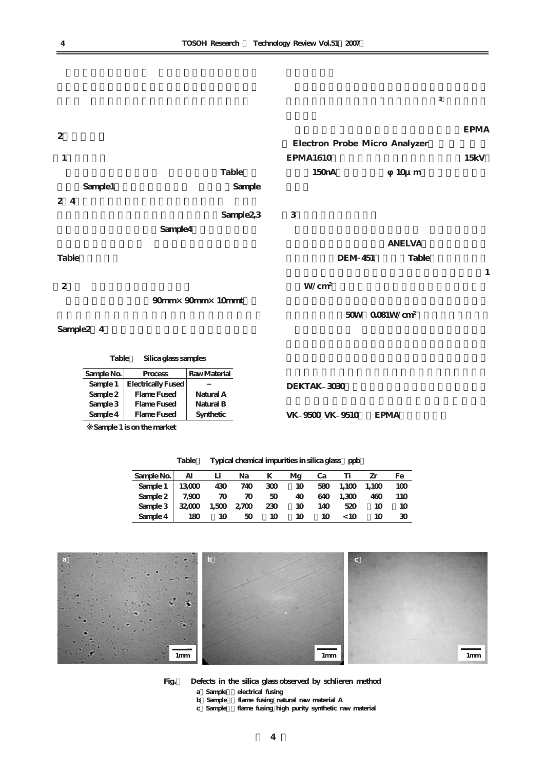

Sample2 4

**Table1 Silica glass samples**

| Sample No.      | Process                       | Raw Material |                 |             |
|-----------------|-------------------------------|--------------|-----------------|-------------|
|                 | Sample 1   Electrically Fused |              | DEKTAK 3030     |             |
| Sample $2 \mid$ | Flame Fused                   | Natural A    |                 |             |
| Sample $3 \mid$ | Flame Fused                   | Natural B    |                 |             |
| Sample 4        | Flame Fused                   | Synthetic    | VK 9500 VK 9510 | <b>EPMA</b> |
|                 |                               |              |                 |             |

**※Sample 1 is on the market** 

**Table2 Typical chemical impurities in silica glass[ppb]**

| Sample $\overline{Na}$   Al Li Na K    |  |    |    |    |                 | Mg Ca Ti Zr | Fe  |
|----------------------------------------|--|----|----|----|-----------------|-------------|-----|
| Sample 1   13000 430 740 300 10        |  |    |    |    | 580 1,100 1,100 |             | 100 |
| Sample 2   7,900 70 70 50              |  |    | 40 |    | 640 1,300       | 460         | 110 |
| Sample $3   32,000 1,500 2,700 230 10$ |  |    |    |    | 140 520         | - 10        | 10  |
| Sample $4 \mid 180 \mid 10 \mid 50$    |  | 10 | 10 | 10 | < 10            | 10          | 30  |



**Fig.2 Defects in the silica glass observed by schlieren method**

a Sample electrical fusing<br>b Sample flame fusing nat

- **b)Sample2:flame fusing natural raw material A**
- **c)Sample4:flame fusing high purity synthetic raw material**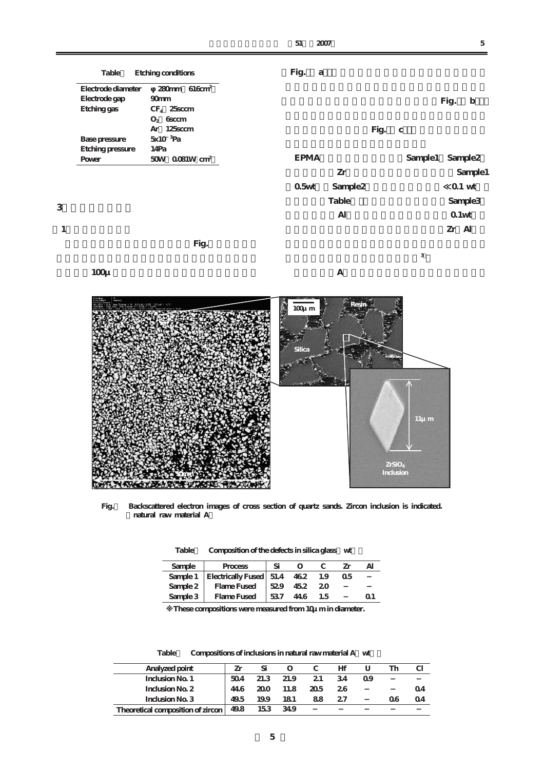|   | Table                   | Etching conditions         | Fig.        | a |                     |      |             |      |                   |                     |
|---|-------------------------|----------------------------|-------------|---|---------------------|------|-------------|------|-------------------|---------------------|
|   | Electrode diameter      | $280$ mm 616 $cm2$         |             |   |                     |      |             |      |                   |                     |
|   | Electrode gap           | 90 <sub>mm</sub>           |             |   |                     |      |             | Fig. |                   | b                   |
|   | Etching gas             | $CF_4$ 25 sccm             |             |   |                     |      |             |      |                   |                     |
|   |                         | $O_2$ 6sccm                |             |   |                     |      |             |      |                   |                     |
|   |                         | Ar 125sccm                 |             |   |                     | Fig. | $\mathbf C$ |      |                   |                     |
|   | <b>Base pressure</b>    | 5x10 <sup>3</sup> Pa       |             |   |                     |      |             |      |                   |                     |
|   | <b>Etching pressure</b> | 14Pa                       |             |   |                     |      |             |      |                   |                     |
|   | Power                   | 50W 0.081W cm <sup>2</sup> | <b>EPMA</b> |   |                     |      | Sample1     |      |                   | Sample <sub>2</sub> |
|   |                         |                            |             |   | Zr                  |      |             |      |                   | Sample1             |
|   |                         |                            | 0.5wt       |   | Sample <sub>2</sub> |      |             |      | $0.1$ wt          |                     |
| 3 |                         |                            |             |   | Table               |      |             |      |                   | Sample <sub>3</sub> |
|   |                         |                            |             |   | Al                  |      |             |      | 0.1 <sub>wt</sub> |                     |
| 1 |                         |                            |             |   |                     |      |             |      | Zr Al             |                     |
|   |                         | Fig.                       |             |   |                     |      |             |      |                   |                     |
|   |                         |                            |             |   |                     |      | 3           |      |                   |                     |
|   | $100\mu$                |                            |             |   | A                   |      |             |      |                   |                     |
|   |                         |                            |             |   |                     |      |             |      |                   |                     |



**Fig.3 Backscattered electron images of cross section of quartz sands. Zircon inclusion is indicated. (natural raw material A)** 

| Table | Composition of the defects in silica glass |  |  |
|-------|--------------------------------------------|--|--|
|-------|--------------------------------------------|--|--|

| Sample   | Process                       | Si  |     |     | '/r |  |
|----------|-------------------------------|-----|-----|-----|-----|--|
| Sample 1 | Electrically Fused   51.4 462 |     |     | 1.9 | Ω5  |  |
| Sample 2 | Flame Fused                   | 529 | 452 | 20  |     |  |
| Sample 3 | <b>Flame Fused</b>            | 537 | 446 | 1.5 |     |  |
|          |                               |     |     |     |     |  |

**※These compositions were measured from 10μm in diameter.** 

Table Compositions of inclusions in natural raw material A wt

| Analyzed point                           | Zr   | Si  | $\Omega$  |      | Hf  |    | Th |          |
|------------------------------------------|------|-----|-----------|------|-----|----|----|----------|
| Inclusion No. 1                          | 504  |     | 21.3 21.9 | 21   | -34 | Ω9 |    |          |
| Inclusion No. 2                          | 446  | 200 | 11.8      | 20.5 | 26  |    |    | $\Omega$ |
| Inclusion No. 3                          | 49.5 | 199 | 181       | 88   | 2.7 |    | 06 | 04       |
| Theoretical composition of zircon   49.8 |      | 153 | -349      |      |     |    |    |          |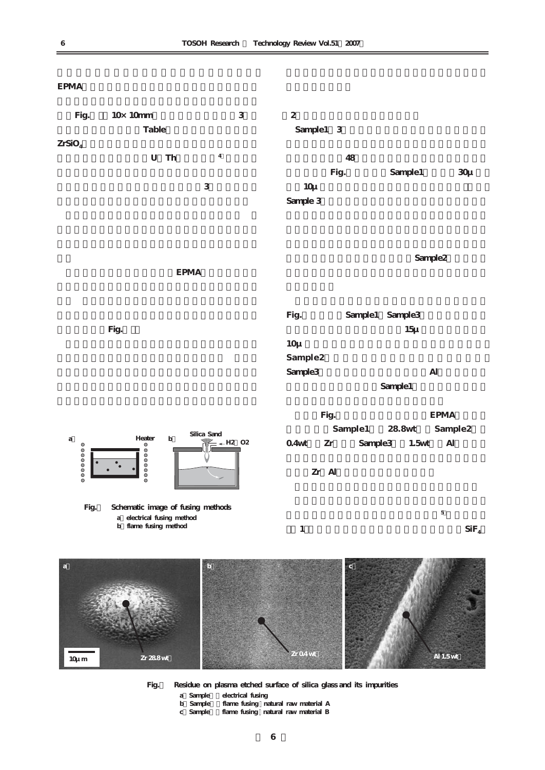



**Fig.5 Residue on plasma etched surface of silica glass and its impurities**

a Sample electrical fusing<br>b Sample flame fusing na

- **b)Sample2:flame fusing / natural raw material A**
- **c)Sample3:flame fusing / natural raw material B**